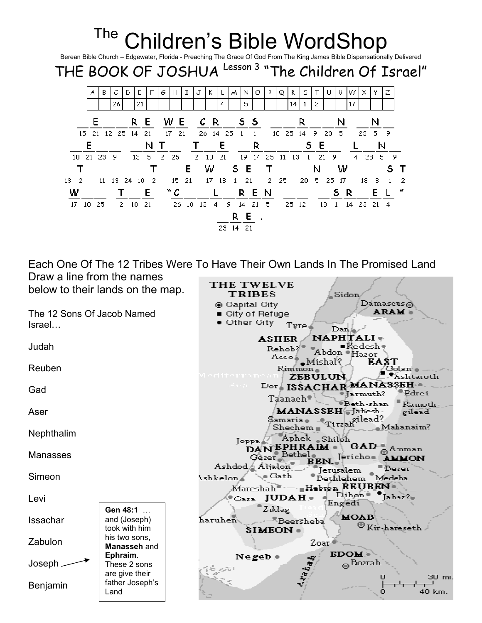

Each One Of The 12 Tribes Were To Have Their Own Lands In The Promised Land Draw a line from the names

THE TWELVE below to their lands on the map. **TRIBES** Sidon  $D$ amaseus $\odot$ ⊛ Capital City **ARAM** The 12 Sons Of Jacob Named ■ City of Refuge  $\bullet$  Other City . Israel… Tyre<sup>4</sup>  $\mathop{\rm Dom}\nolimits\varphi$  $NAPH[1ALI +$ ASHER SHBR INTILLALIT Judah Abdon<br>Mishal<br>Rimmon **EAST** Reuben  $R$ ind mon $_{\oplus}$  . Golan - $\frac{1}{2}$  Ashtaroth **ZEBULUN** Dor ISSACHAR MANASSEH Gad Taanach Jarmuth? Edrei<br>Taanach Jarmuth? Edrei MANASSEH Jabesh -Aser gilead  $Sz<sub>amaria</sub> ( $\frac{1}{\text{Stochastic}}$$ Shechem Tirah<br>Joppa Aphek Shiloh<br>**DANEPHRAIM** GAD<br>Gazer Bethel<br>Ashdod Aijalon BEN. Jericho **AMMON**<br>Ashdod Aijalon BEN. Jericho **AMMON**  $\mathcal{L} = M$ ahanaim?  $^{\mathsf{F}}$ Shechem  $_{\mathsf{H}}$   $^{\mathsf{F}}$ Nephthalim Manasses Jerusalem Beser<br>"Bethlehem Medeba Ashkelon Gath Simeon  ${\tt Marchah}$  - Hebron REUBEN  $P_{\text{Gaza}}$  JUDAH  $\bullet$   $P_{\text{Fnasal}}$  $Jahaz$ Levi Engedi  $z_{iklaz}$ Gen 48:1 … MOAB Issachar and (Joseph) haruhen - - Beersheba  $\odot$  Kir-hareseth  $\Box$ took with him  $SIMEON$ his two sons, Zabulon Zoar, Manasseh and **EDOM** Ephraim. Negeb  $\bullet$  $_\oplus$ Bozrah Joseph These 2 sons are give their  $\bullet$ 30 mi. father Joseph's Benjamin Land Ó 40 km.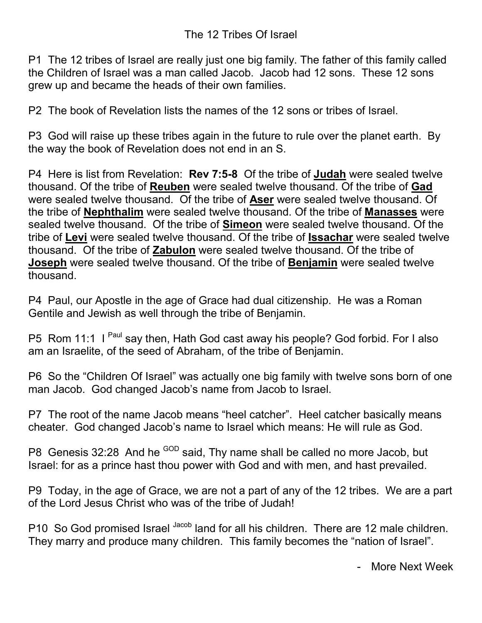P1 The 12 tribes of Israel are really just one big family. The father of this family called the Children of Israel was a man called Jacob. Jacob had 12 sons. These 12 sons grew up and became the heads of their own families.

P2 The book of Revelation lists the names of the 12 sons or tribes of Israel.

P3 God will raise up these tribes again in the future to rule over the planet earth. By the way the book of Revelation does not end in an S.

P4 Here is list from Revelation: Rev 7:5-8 Of the tribe of Judah were sealed twelve thousand. Of the tribe of Reuben were sealed twelve thousand. Of the tribe of Gad were sealed twelve thousand. Of the tribe of Aser were sealed twelve thousand. Of the tribe of Nephthalim were sealed twelve thousand. Of the tribe of Manasses were sealed twelve thousand. Of the tribe of Simeon were sealed twelve thousand. Of the tribe of Levi were sealed twelve thousand. Of the tribe of Issachar were sealed twelve thousand. Of the tribe of Zabulon were sealed twelve thousand. Of the tribe of Joseph were sealed twelve thousand. Of the tribe of **Benjamin** were sealed twelve thousand.

P4 Paul, our Apostle in the age of Grace had dual citizenship. He was a Roman Gentile and Jewish as well through the tribe of Benjamin.

P5 Rom 11:1 I Paul say then, Hath God cast away his people? God forbid. For I also am an Israelite, of the seed of Abraham, of the tribe of Benjamin.

P6 So the "Children Of Israel" was actually one big family with twelve sons born of one man Jacob. God changed Jacob's name from Jacob to Israel.

P7 The root of the name Jacob means "heel catcher". Heel catcher basically means cheater. God changed Jacob's name to Israel which means: He will rule as God.

P8 Genesis 32:28 And he <sup>GOD</sup> said, Thy name shall be called no more Jacob, but Israel: for as a prince hast thou power with God and with men, and hast prevailed.

P9 Today, in the age of Grace, we are not a part of any of the 12 tribes. We are a part of the Lord Jesus Christ who was of the tribe of Judah!

P10 So God promised Israel Jacob land for all his children. There are 12 male children. They marry and produce many children. This family becomes the "nation of Israel".

- More Next Week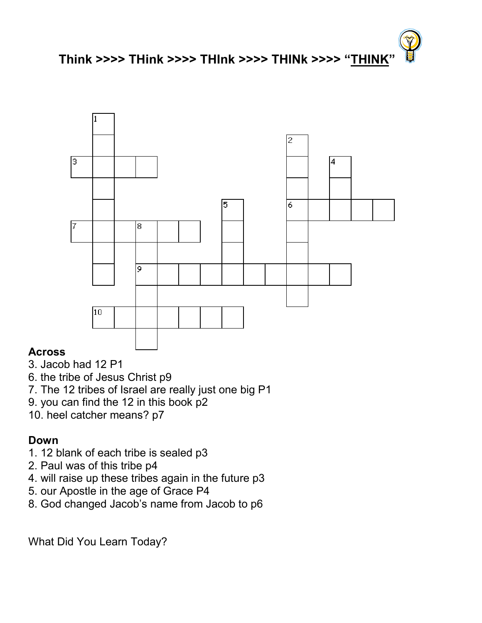



## Across

- 3. Jacob had 12 P1
- 6. the tribe of Jesus Christ p9
- 7. The 12 tribes of Israel are really just one big P1
- 9. you can find the 12 in this book p2
- 10. heel catcher means? p7

## Down

- 1. 12 blank of each tribe is sealed p3
- 2. Paul was of this tribe p4
- 4. will raise up these tribes again in the future p3
- 5. our Apostle in the age of Grace P4
- 8. God changed Jacob's name from Jacob to p6

What Did You Learn Today?